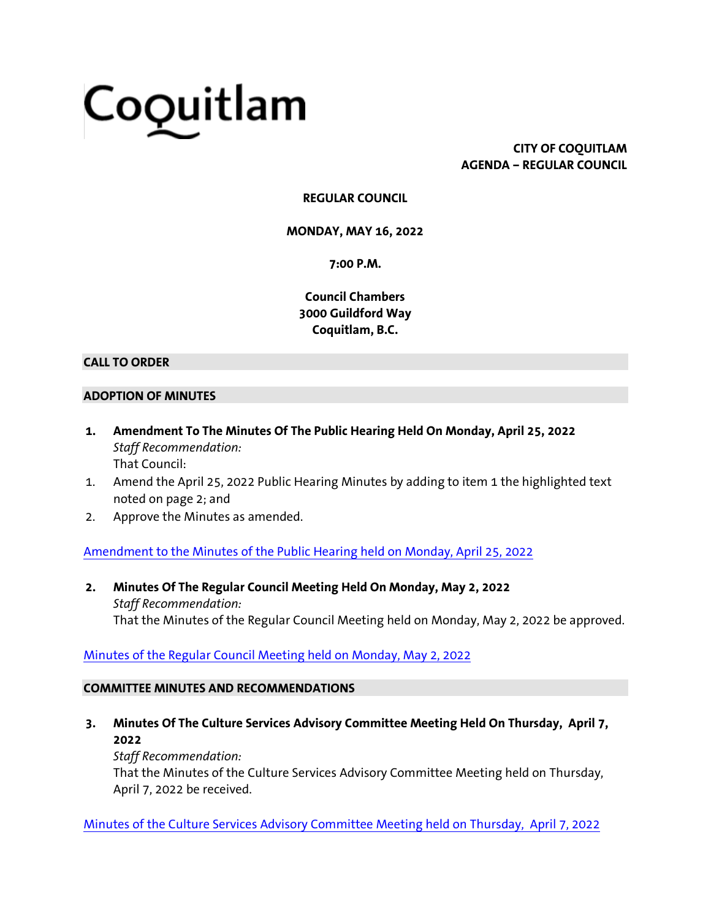# Coquitlam

**CITY OF COQUITLAM AGENDA – REGULAR COUNCIL**

# **REGULAR COUNCIL**

**MONDAY, MAY 16, 2022**

**7:00 P.M.**

**Council Chambers 3000 Guildford Way Coquitlam, B.C.**

#### **CALL TO ORDER**

#### **ADOPTION OF MINUTES**

- **1. Amendment To The Minutes Of The Public Hearing Held On Monday, April 25, 2022** *Staff Recommendation:* That Council:
- 1. Amend the April 25, 2022 Public Hearing Minutes by adding to item 1 the highlighted text noted on page 2; and
- 2. Approve the Minutes as amended.

[Amendment to the Minutes of the Public Hearing held on Monday, April 25, 2022](https://coquitlam.ca.granicus.com/MetaViewer.php?view_id=&event_id=1303&meta_id=55502)

**2. Minutes Of The Regular Council Meeting Held On Monday, May 2, 2022** *Staff Recommendation:* That the Minutes of the Regular Council Meeting held on Monday, May 2, 2022 be approved.

# [Minutes of the Regular Council Meeting held on Monday, May 2, 2022](https://coquitlam.ca.granicus.com/MetaViewer.php?view_id=&event_id=1303&meta_id=55504)

## **COMMITTEE MINUTES AND RECOMMENDATIONS**

**3. Minutes Of The Culture Services Advisory Committee Meeting Held On Thursday, April 7, 2022**

*Staff Recommendation:*

That the Minutes of the Culture Services Advisory Committee Meeting held on Thursday, April 7, 2022 be received.

[Minutes of the Culture Services Advisory Committee Meeting held on Thursday,](https://coquitlam.ca.granicus.com/MetaViewer.php?view_id=&event_id=1303&meta_id=55506) April 7, 2022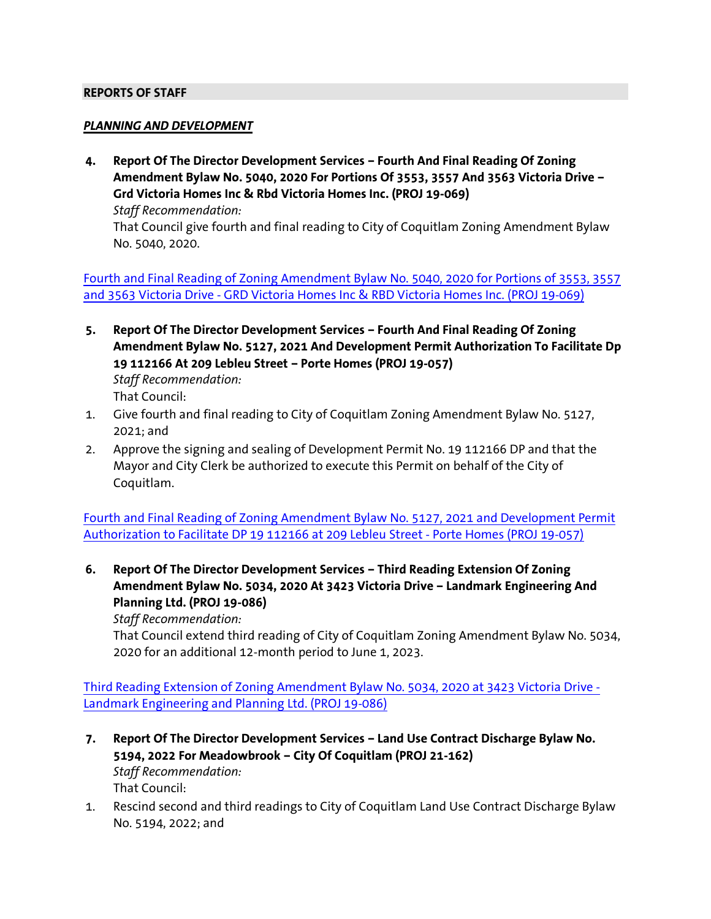#### **REPORTS OF STAFF**

#### *PLANNING AND DEVELOPMENT*

**4. Report Of The Director Development Services – Fourth And Final Reading Of Zoning Amendment Bylaw No. 5040, 2020 For Portions Of 3553, 3557 And 3563 Victoria Drive – Grd Victoria Homes Inc & Rbd Victoria Homes Inc. (PROJ 19-069)** *Staff Recommendation:* That Council give fourth and final reading to City of Coquitlam Zoning Amendment Bylaw No. 5040, 2020.

[Fourth and Final Reading of Zoning Amendment Bylaw No. 5040, 2020 for Portions of 3553, 3557](https://coquitlam.ca.granicus.com/MetaViewer.php?view_id=&event_id=1303&meta_id=55508)  and 3563 Victoria Drive - [GRD Victoria Homes Inc & RBD Victoria Homes Inc. \(PROJ 19-069\)](https://coquitlam.ca.granicus.com/MetaViewer.php?view_id=&event_id=1303&meta_id=55508)

- **5. Report Of The Director Development Services – Fourth And Final Reading Of Zoning Amendment Bylaw No. 5127, 2021 And Development Permit Authorization To Facilitate Dp 19 112166 At 209 Lebleu Street – Porte Homes (PROJ 19-057)** *Staff Recommendation:* That Council:
- 1. Give fourth and final reading to City of Coquitlam Zoning Amendment Bylaw No. 5127, 2021; and
- 2. Approve the signing and sealing of Development Permit No. 19 112166 DP and that the Mayor and City Clerk be authorized to execute this Permit on behalf of the City of Coquitlam.

[Fourth and Final Reading of Zoning Amendment Bylaw No. 5127, 2021 and Development Permit](https://coquitlam.ca.granicus.com/MetaViewer.php?view_id=&event_id=1303&meta_id=55510)  [Authorization to Facilitate DP 19 112166 at 209 Lebleu Street -](https://coquitlam.ca.granicus.com/MetaViewer.php?view_id=&event_id=1303&meta_id=55510) Porte Homes (PROJ 19-057)

**6. Report Of The Director Development Services – Third Reading Extension Of Zoning Amendment Bylaw No. 5034, 2020 At 3423 Victoria Drive – Landmark Engineering And Planning Ltd. (PROJ 19-086)**

*Staff Recommendation:*

That Council extend third reading of City of Coquitlam Zoning Amendment Bylaw No. 5034, 2020 for an additional 12-month period to June 1, 2023.

[Third Reading Extension of Zoning Amendment Bylaw No. 5034, 2020 at 3423 Victoria Drive -](https://coquitlam.ca.granicus.com/MetaViewer.php?view_id=&event_id=1303&meta_id=55512) [Landmark Engineering and Planning Ltd. \(PROJ 19-086\)](https://coquitlam.ca.granicus.com/MetaViewer.php?view_id=&event_id=1303&meta_id=55512)

- **7. Report Of The Director Development Services – Land Use Contract Discharge Bylaw No. 5194, 2022 For Meadowbrook – City Of Coquitlam (PROJ 21-162)** *Staff Recommendation:* That Council:
- 1. Rescind second and third readings to City of Coquitlam Land Use Contract Discharge Bylaw No. 5194, 2022; and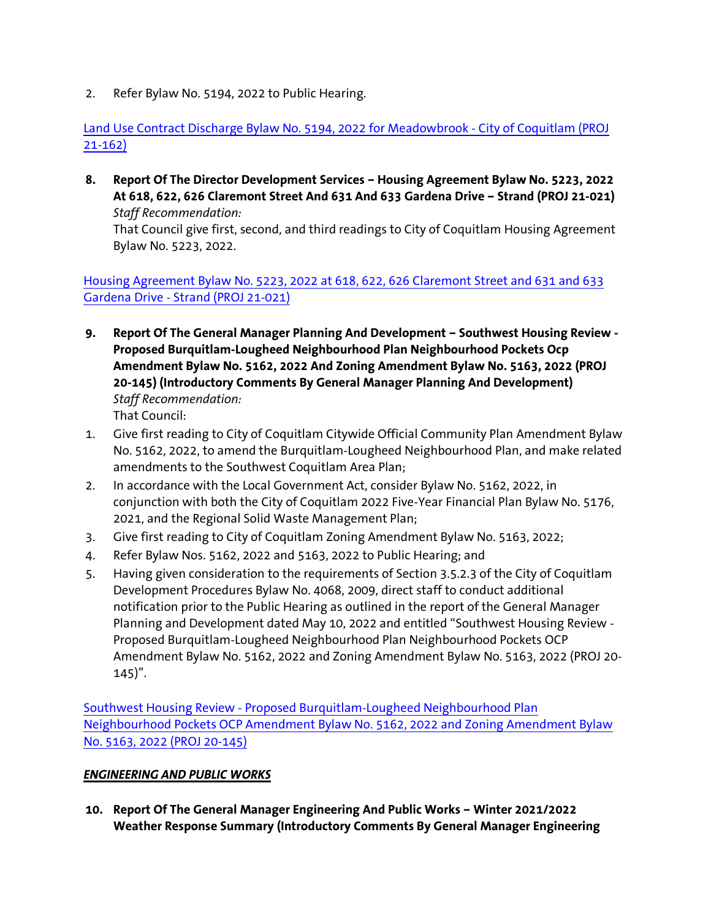2. Refer Bylaw No. 5194, 2022 to Public Hearing.

[Land Use Contract Discharge Bylaw No. 5194, 2022 for Meadowbrook -](https://coquitlam.ca.granicus.com/MetaViewer.php?view_id=&event_id=1303&meta_id=55514) City of Coquitlam (PROJ [21-162\)](https://coquitlam.ca.granicus.com/MetaViewer.php?view_id=&event_id=1303&meta_id=55514)

**8. Report Of The Director Development Services – Housing Agreement Bylaw No. 5223, 2022 At 618, 622, 626 Claremont Street And 631 And 633 Gardena Drive – Strand (PROJ 21-021)** *Staff Recommendation:*

That Council give first, second, and third readings to City of Coquitlam Housing Agreement Bylaw No. 5223, 2022.

[Housing Agreement Bylaw No. 5223, 2022 at 618, 622, 626 Claremont Street and 631 and 633](https://coquitlam.ca.granicus.com/MetaViewer.php?view_id=&event_id=1303&meta_id=55516)  Gardena Drive - [Strand \(PROJ 21-021\)](https://coquitlam.ca.granicus.com/MetaViewer.php?view_id=&event_id=1303&meta_id=55516)

- **9. Report Of The General Manager Planning And Development – Southwest Housing Review - Proposed Burquitlam-Lougheed Neighbourhood Plan Neighbourhood Pockets Ocp Amendment Bylaw No. 5162, 2022 And Zoning Amendment Bylaw No. 5163, 2022 (PROJ 20-145) (Introductory Comments By General Manager Planning And Development)** *Staff Recommendation:* That Council:
- 1. Give first reading to City of Coquitlam Citywide Official Community Plan Amendment Bylaw No. 5162, 2022, to amend the Burquitlam-Lougheed Neighbourhood Plan, and make related amendments to the Southwest Coquitlam Area Plan;
- 2. In accordance with the Local Government Act, consider Bylaw No. 5162, 2022, in conjunction with both the City of Coquitlam 2022 Five-Year Financial Plan Bylaw No. 5176, 2021, and the Regional Solid Waste Management Plan;
- 3. Give first reading to City of Coquitlam Zoning Amendment Bylaw No. 5163, 2022;
- 4. Refer Bylaw Nos. 5162, 2022 and 5163, 2022 to Public Hearing; and
- 5. Having given consideration to the requirements of Section 3.5.2.3 of the City of Coquitlam Development Procedures Bylaw No. 4068, 2009, direct staff to conduct additional notification prior to the Public Hearing as outlined in the report of the General Manager Planning and Development dated May 10, 2022 and entitled "Southwest Housing Review - Proposed Burquitlam-Lougheed Neighbourhood Plan Neighbourhood Pockets OCP Amendment Bylaw No. 5162, 2022 and Zoning Amendment Bylaw No. 5163, 2022 (PROJ 20-  $145$ ".

Southwest Housing Review - [Proposed Burquitlam-Lougheed Neighbourhood Plan](https://coquitlam.ca.granicus.com/MetaViewer.php?view_id=&event_id=1303&meta_id=55518)  [Neighbourhood Pockets OCP Amendment Bylaw No. 5162, 2022 and Zoning Amendment Bylaw](https://coquitlam.ca.granicus.com/MetaViewer.php?view_id=&event_id=1303&meta_id=55518)  [No. 5163, 2022 \(PROJ 20-145\)](https://coquitlam.ca.granicus.com/MetaViewer.php?view_id=&event_id=1303&meta_id=55518)

# *ENGINEERING AND PUBLIC WORKS*

**10. Report Of The General Manager Engineering And Public Works – Winter 2021/2022 Weather Response Summary (Introductory Comments By General Manager Engineering**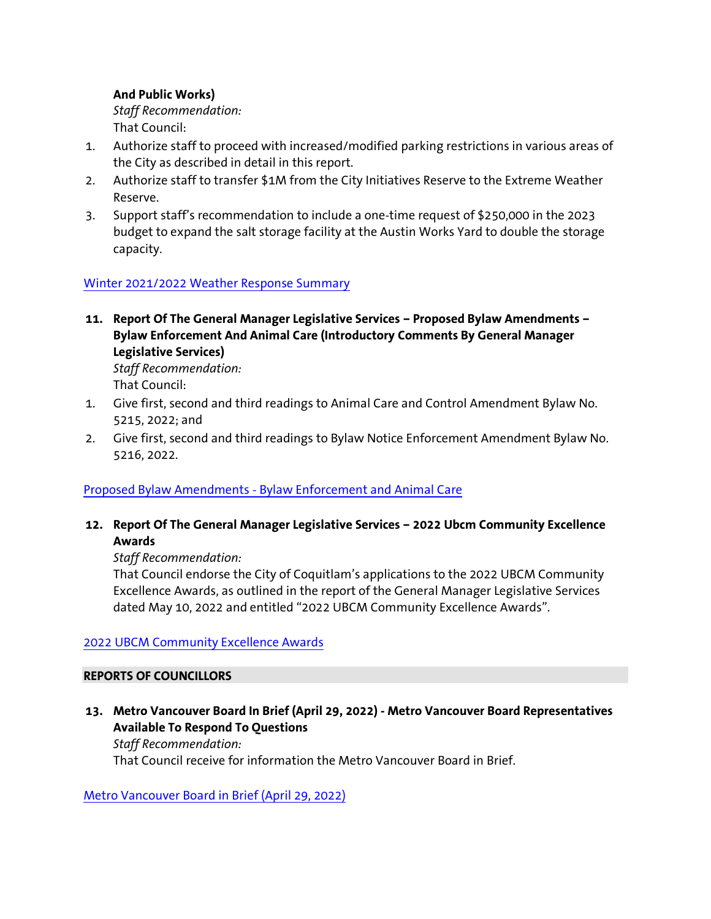# **And Public Works)**

*Staff Recommendation:* That Council:

- 1. Authorize staff to proceed with increased/modified parking restrictions in various areas of the City as described in detail in this report.
- 2. Authorize staff to transfer \$1M from the City Initiatives Reserve to the Extreme Weather Reserve.
- 3. Support staff's recommendation to include a one-time request of \$250,000 in the 2023 budget to expand the salt storage facility at the Austin Works Yard to double the storage capacity.

# [Winter 2021/2022 Weather Response Summary](https://coquitlam.ca.granicus.com/MetaViewer.php?view_id=&event_id=1303&meta_id=55520)

**11. Report Of The General Manager Legislative Services – Proposed Bylaw Amendments – Bylaw Enforcement And Animal Care (Introductory Comments By General Manager Legislative Services)**

*Staff Recommendation:* That Council:

- 1. Give first, second and third readings to Animal Care and Control Amendment Bylaw No. 5215, 2022; and
- 2. Give first, second and third readings to Bylaw Notice Enforcement Amendment Bylaw No. 5216, 2022.

## Proposed Bylaw Amendments - [Bylaw Enforcement and Animal Care](https://coquitlam.ca.granicus.com/MetaViewer.php?view_id=&event_id=1303&meta_id=55522)

**12. Report Of The General Manager Legislative Services – 2022 Ubcm Community Excellence Awards**

## *Staff Recommendation:*

That Council endorse the City of Coquitlam's applications to the 2022 UBCM Community Excellence Awards, as outlined in the report of the General Manager Legislative Services dated May 10, 2022 and entitled "2022 UBCM Community Excellence Awards".

## [2022 UBCM Community Excellence Awards](https://coquitlam.ca.granicus.com/MetaViewer.php?view_id=&event_id=1303&meta_id=55524)

## **REPORTS OF COUNCILLORS**

**13. Metro Vancouver Board In Brief (April 29, 2022) - Metro Vancouver Board Representatives Available To Respond To Questions**

*Staff Recommendation:* That Council receive for information the Metro Vancouver Board in Brief.

[Metro Vancouver Board in Brief \(April 29, 2022\)](https://coquitlam.ca.granicus.com/MetaViewer.php?view_id=&event_id=1303&meta_id=55526)